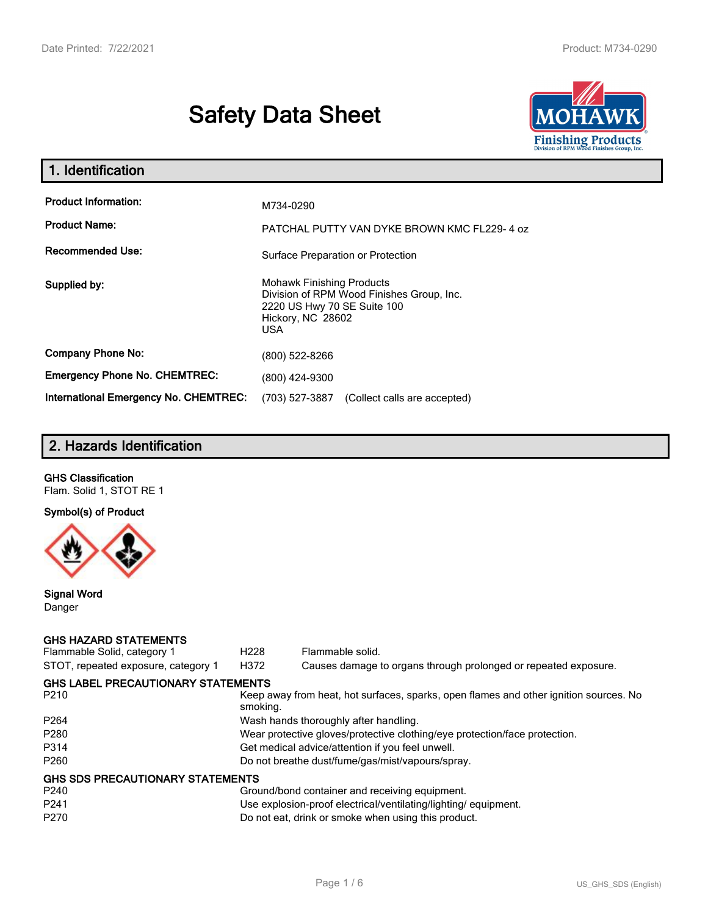# **Safety Data Sheet**



| 1. Identification                                   |                                                                                                                                           |  |  |
|-----------------------------------------------------|-------------------------------------------------------------------------------------------------------------------------------------------|--|--|
| <b>Product Information:</b><br><b>Product Name:</b> | M734-0290<br>PATCHAL PUTTY VAN DYKE BROWN KMC FL229-4 oz                                                                                  |  |  |
| <b>Recommended Use:</b>                             | Surface Preparation or Protection                                                                                                         |  |  |
| Supplied by:                                        | <b>Mohawk Finishing Products</b><br>Division of RPM Wood Finishes Group, Inc.<br>2220 US Hwy 70 SE Suite 100<br>Hickory, NC 28602<br>USA. |  |  |
| <b>Company Phone No:</b>                            | (800) 522-8266                                                                                                                            |  |  |
| <b>Emergency Phone No. CHEMTREC:</b>                | (800) 424-9300                                                                                                                            |  |  |
| <b>International Emergency No. CHEMTREC:</b>        | (703) 527-3887<br>(Collect calls are accepted)                                                                                            |  |  |

# **2. Hazards Identification**

# **GHS Classification**

Flam. Solid 1, STOT RE 1

# **Symbol(s) of Product**



#### **Signal Word** Danger

#### **GHS HAZARD STATEMENTS**

| Flammable Solid, category 1               | H <sub>228</sub>                                 | Flammable solid.                                                                      |  |  |
|-------------------------------------------|--------------------------------------------------|---------------------------------------------------------------------------------------|--|--|
| STOT, repeated exposure, category 1       | H372                                             | Causes damage to organs through prolonged or repeated exposure.                       |  |  |
| <b>GHS LABEL PRECAUTIONARY STATEMENTS</b> |                                                  |                                                                                       |  |  |
| P <sub>210</sub>                          | smoking.                                         | Keep away from heat, hot surfaces, sparks, open flames and other ignition sources. No |  |  |
| P <sub>264</sub>                          |                                                  | Wash hands thoroughly after handling.                                                 |  |  |
| P <sub>280</sub>                          |                                                  | Wear protective gloves/protective clothing/eye protection/face protection.            |  |  |
| P314                                      | Get medical advice/attention if you feel unwell. |                                                                                       |  |  |
| P <sub>260</sub>                          | Do not breathe dust/fume/gas/mist/vapours/spray. |                                                                                       |  |  |
| <b>GHS SDS PRECAUTIONARY STATEMENTS</b>   |                                                  |                                                                                       |  |  |
| P <sub>240</sub>                          |                                                  | Ground/bond container and receiving equipment.                                        |  |  |
| P <sub>241</sub>                          |                                                  | Use explosion-proof electrical/ventilating/lighting/equipment.                        |  |  |
| P <sub>270</sub>                          |                                                  | Do not eat, drink or smoke when using this product.                                   |  |  |
|                                           |                                                  |                                                                                       |  |  |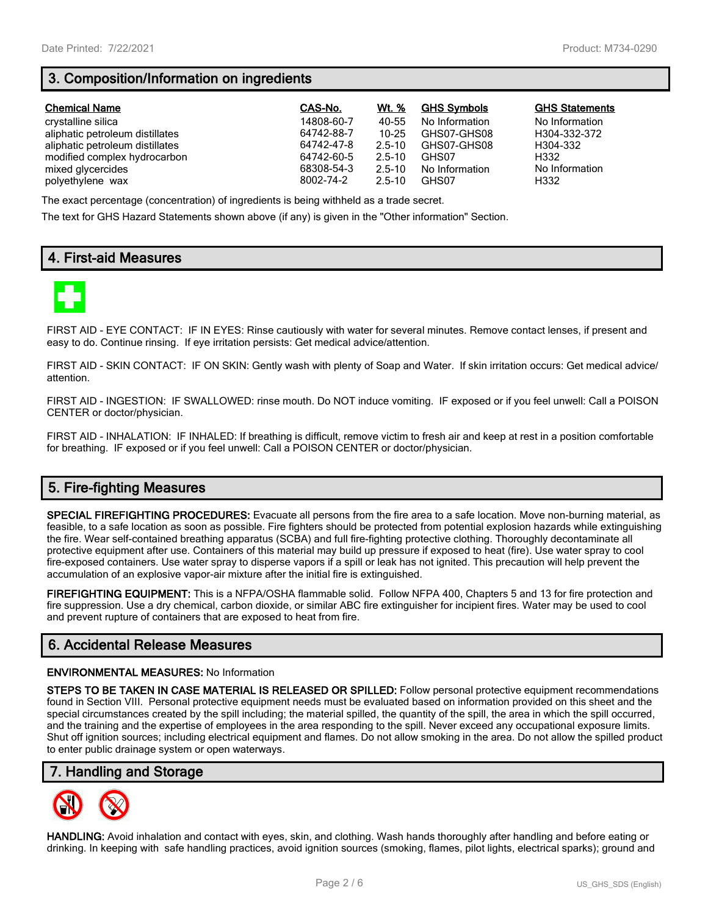# **3. Composition/Information on ingredients**

| <b>Chemical Name</b>            | CAS-No.    | Wt. %      | <b>GHS Symbols</b> | <b>GHS Statements</b> |
|---------------------------------|------------|------------|--------------------|-----------------------|
| crystalline silica              | 14808-60-7 | 40-55      | No Information     | No Information        |
| aliphatic petroleum distillates | 64742-88-7 | $10 - 25$  | GHS07-GHS08        | H304-332-372          |
| aliphatic petroleum distillates | 64742-47-8 | $2.5 - 10$ | GHS07-GHS08        | H304-332              |
| modified complex hydrocarbon    | 64742-60-5 | $2.5 - 10$ | GHS07              | H332                  |
| mixed glycercides               | 68308-54-3 | $2.5 - 10$ | No Information     | No Information        |
| polyethylene wax                | 8002-74-2  | $2.5 - 10$ | GHS07              | H332                  |

The exact percentage (concentration) of ingredients is being withheld as a trade secret.

The text for GHS Hazard Statements shown above (if any) is given in the "Other information" Section.

# **4. First-aid Measures**



FIRST AID - EYE CONTACT: IF IN EYES: Rinse cautiously with water for several minutes. Remove contact lenses, if present and easy to do. Continue rinsing. If eye irritation persists: Get medical advice/attention.

FIRST AID - SKIN CONTACT: IF ON SKIN: Gently wash with plenty of Soap and Water. If skin irritation occurs: Get medical advice/ attention.

FIRST AID - INGESTION: IF SWALLOWED: rinse mouth. Do NOT induce vomiting. IF exposed or if you feel unwell: Call a POISON CENTER or doctor/physician.

FIRST AID - INHALATION: IF INHALED: If breathing is difficult, remove victim to fresh air and keep at rest in a position comfortable for breathing. IF exposed or if you feel unwell: Call a POISON CENTER or doctor/physician.

# **5. Fire-fighting Measures**

**SPECIAL FIREFIGHTING PROCEDURES:** Evacuate all persons from the fire area to a safe location. Move non-burning material, as feasible, to a safe location as soon as possible. Fire fighters should be protected from potential explosion hazards while extinguishing the fire. Wear self-contained breathing apparatus (SCBA) and full fire-fighting protective clothing. Thoroughly decontaminate all protective equipment after use. Containers of this material may build up pressure if exposed to heat (fire). Use water spray to cool fire-exposed containers. Use water spray to disperse vapors if a spill or leak has not ignited. This precaution will help prevent the accumulation of an explosive vapor-air mixture after the initial fire is extinguished.

**FIREFIGHTING EQUIPMENT:** This is a NFPA/OSHA flammable solid. Follow NFPA 400, Chapters 5 and 13 for fire protection and fire suppression. Use a dry chemical, carbon dioxide, or similar ABC fire extinguisher for incipient fires. Water may be used to cool and prevent rupture of containers that are exposed to heat from fire.

## **6. Accidental Release Measures**

#### **ENVIRONMENTAL MEASURES:** No Information

**STEPS TO BE TAKEN IN CASE MATERIAL IS RELEASED OR SPILLED:** Follow personal protective equipment recommendations found in Section VIII. Personal protective equipment needs must be evaluated based on information provided on this sheet and the special circumstances created by the spill including; the material spilled, the quantity of the spill, the area in which the spill occurred, and the training and the expertise of employees in the area responding to the spill. Never exceed any occupational exposure limits. Shut off ignition sources; including electrical equipment and flames. Do not allow smoking in the area. Do not allow the spilled product to enter public drainage system or open waterways.

## **7. Handling and Storage**



**HANDLING:** Avoid inhalation and contact with eyes, skin, and clothing. Wash hands thoroughly after handling and before eating or drinking. In keeping with safe handling practices, avoid ignition sources (smoking, flames, pilot lights, electrical sparks); ground and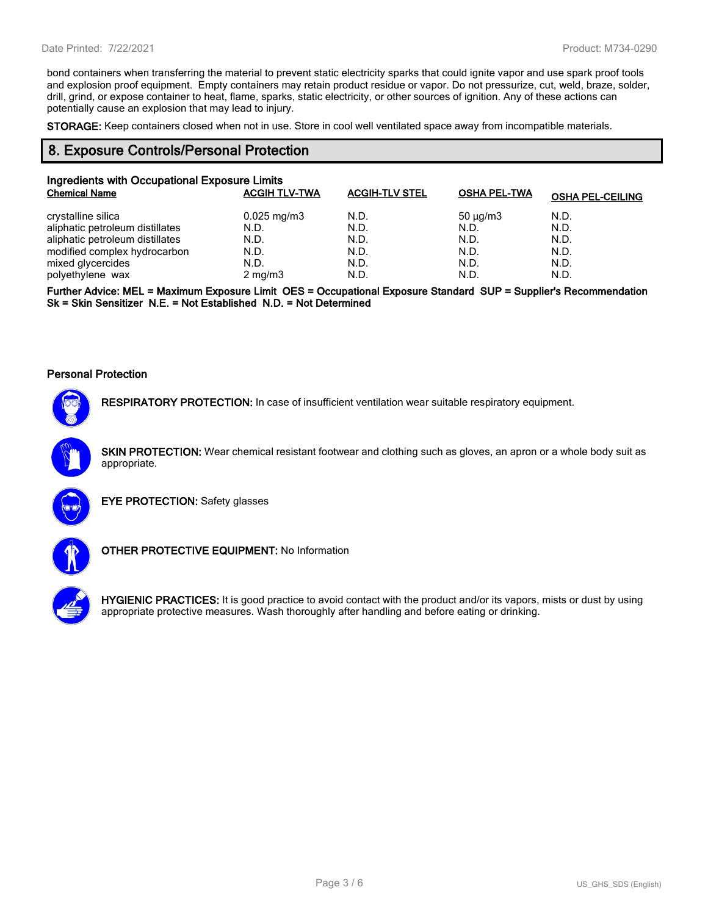bond containers when transferring the material to prevent static electricity sparks that could ignite vapor and use spark proof tools and explosion proof equipment. Empty containers may retain product residue or vapor. Do not pressurize, cut, weld, braze, solder, drill, grind, or expose container to heat, flame, sparks, static electricity, or other sources of ignition. Any of these actions can potentially cause an explosion that may lead to injury.

**STORAGE:** Keep containers closed when not in use. Store in cool well ventilated space away from incompatible materials.

### **8. Exposure Controls/Personal Protection**

| Ingredients with Occupational Exposure Limits |                      |                       |                     |                         |  |  |
|-----------------------------------------------|----------------------|-----------------------|---------------------|-------------------------|--|--|
| <b>Chemical Name</b>                          | <b>ACGIH TLV-TWA</b> | <b>ACGIH-TLV STEL</b> | <b>OSHA PEL-TWA</b> | <b>OSHA PEL-CEILING</b> |  |  |
| crystalline silica                            | $0.025$ mg/m3        | N.D.                  | $50 \mu q/m3$       | N.D.                    |  |  |
| aliphatic petroleum distillates               | N.D.                 | N.D.                  | N.D.                | N.D.                    |  |  |
| aliphatic petroleum distillates               | N.D.                 | N.D.                  | N.D.                | N.D.                    |  |  |
| modified complex hydrocarbon                  | N.D.                 | N.D.                  | N.D.                | N.D.                    |  |  |
| mixed glycercides                             | N.D.                 | N.D.                  | N.D.                | N.D.                    |  |  |
| polyethylene wax                              | $2 \text{ mg/m}$     | N.D.                  | N.D.                | N.D.                    |  |  |

**Further Advice: MEL = Maximum Exposure Limit OES = Occupational Exposure Standard SUP = Supplier's Recommendation Sk = Skin Sensitizer N.E. = Not Established N.D. = Not Determined**

#### **Personal Protection**



**RESPIRATORY PROTECTION:** In case of insufficient ventilation wear suitable respiratory equipment.

**SKIN PROTECTION:** Wear chemical resistant footwear and clothing such as gloves, an apron or a whole body suit as appropriate.



**EYE PROTECTION:** Safety glasses



**OTHER PROTECTIVE EQUIPMENT:** No Information



**HYGIENIC PRACTICES:** It is good practice to avoid contact with the product and/or its vapors, mists or dust by using appropriate protective measures. Wash thoroughly after handling and before eating or drinking.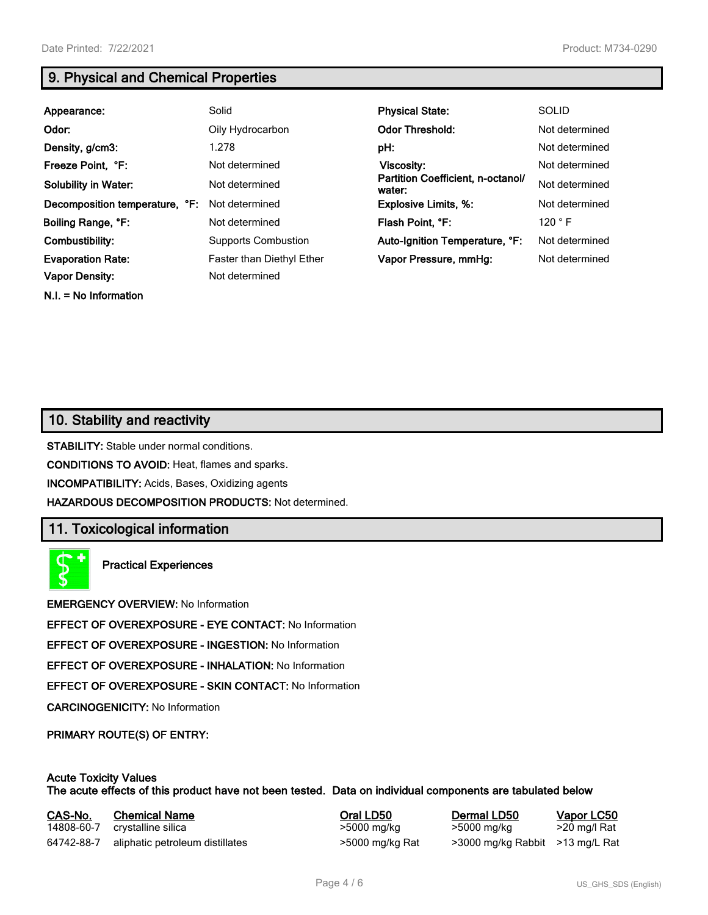**N.I. = No Information**

# **9. Physical and Chemical Properties**

| Appearance:                    | Solid                            | <b>Physical State:</b>                      | <b>SOLID</b>   |
|--------------------------------|----------------------------------|---------------------------------------------|----------------|
| Odor:                          | Oily Hydrocarbon                 | <b>Odor Threshold:</b>                      | Not determined |
| Density, g/cm3:                | 1.278                            | pH:                                         | Not determined |
| Freeze Point, °F:              | Not determined                   | Viscosity:                                  | Not determined |
| <b>Solubility in Water:</b>    | Not determined                   | Partition Coefficient, n-octanol/<br>water: | Not determined |
| Decomposition temperature, °F: | Not determined                   | <b>Explosive Limits, %:</b>                 | Not determined |
| Boiling Range, °F:             | Not determined                   | Flash Point, °F:                            | 120 °F         |
| Combustibility:                | <b>Supports Combustion</b>       | Auto-Ignition Temperature, °F:              | Not determined |
| <b>Evaporation Rate:</b>       | <b>Faster than Diethyl Ether</b> | Vapor Pressure, mmHg:                       | Not determined |
| <b>Vapor Density:</b>          | Not determined                   |                                             |                |

# **10. Stability and reactivity**

**STABILITY:** Stable under normal conditions.

**CONDITIONS TO AVOID:** Heat, flames and sparks.

**INCOMPATIBILITY:** Acids, Bases, Oxidizing agents

**HAZARDOUS DECOMPOSITION PRODUCTS:** Not determined.

## **11. Toxicological information**

**Practical Experiences**

**EMERGENCY OVERVIEW:** No Information

**EFFECT OF OVEREXPOSURE - EYE CONTACT:** No Information

**EFFECT OF OVEREXPOSURE - INGESTION:** No Information

**EFFECT OF OVEREXPOSURE - INHALATION:** No Information

**EFFECT OF OVEREXPOSURE - SKIN CONTACT:** No Information

**CARCINOGENICITY:** No Information

**PRIMARY ROUTE(S) OF ENTRY:**

#### **Acute Toxicity Values The acute effects of this product have not been tested. Data on individual components are tabulated below**

| CAS-No.    | <b>Chemical Name</b>            | Oral LD50       | Dermal LD50                     | Vapor LC50   |
|------------|---------------------------------|-----------------|---------------------------------|--------------|
| 14808-60-7 | crystalline silica              | >5000 mg/kg     | >5000 mg/kg                     | >20 mg/l Rat |
| 64742-88-7 | aliphatic petroleum distillates | >5000 mg/kg Rat | >3000 mg/kg Rabbit >13 mg/L Rat |              |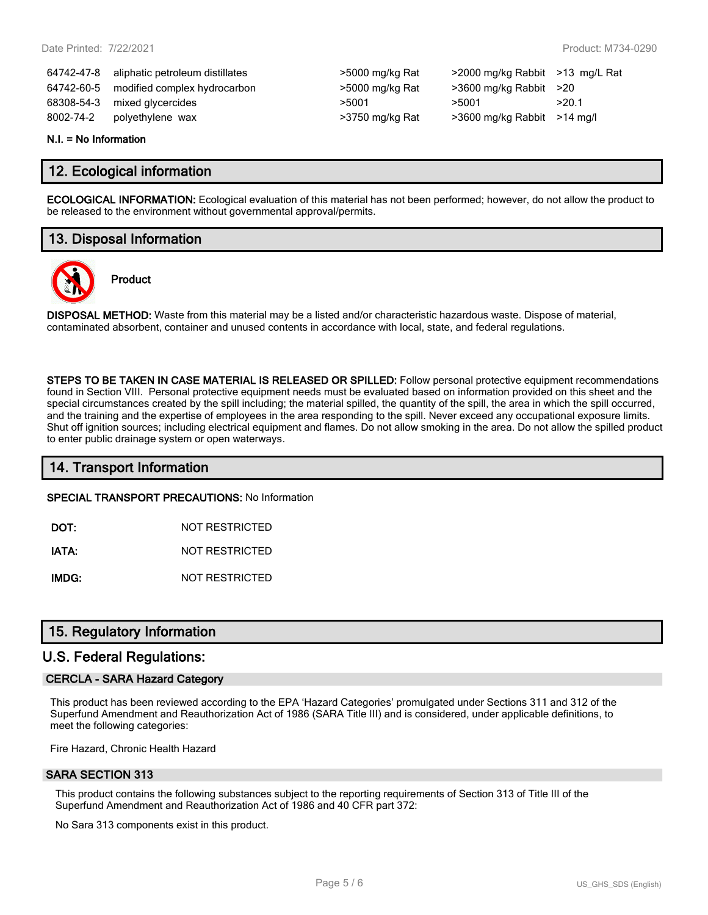|            | 64742-47-8 aliphatic petroleum distillates | >5000 mg/kg Rat | $>$ 2000 mg/kg Rabbit $>$ 13 m |       |
|------------|--------------------------------------------|-----------------|--------------------------------|-------|
| 64742-60-5 | modified complex hydrocarbon               | >5000 mg/kg Rat | $>3600$ mg/kg Rabbit $>20$     |       |
|            | 68308-54-3 mixed glycercides               | >5001           | >5001                          | >20.1 |
| 8002-74-2  | polyethylene wax                           | >3750 mg/kg Rat | $>3600$ mg/kg Rabbit $>14$ m   |       |

| >5000 mg/kg Rat |
|-----------------|
| >5000 mg/kg Rat |
| >5001           |
| >3750 mg/kg Rat |

64742-47-8 aliphatic petroleum distillates >5000 mg/kg Rat >2000 mg/kg Rabbit >13 mg/L Rat  $>3600$  mg/kg Rabbit  $>20$ >3600 mg/kg Rabbit >14 mg/l

#### **N.I. = No Information**

## **12. Ecological information**

**ECOLOGICAL INFORMATION:** Ecological evaluation of this material has not been performed; however, do not allow the product to be released to the environment without governmental approval/permits.

# **13. Disposal Information**

**Product**



**DISPOSAL METHOD:** Waste from this material may be a listed and/or characteristic hazardous waste. Dispose of material, contaminated absorbent, container and unused contents in accordance with local, state, and federal regulations.

**STEPS TO BE TAKEN IN CASE MATERIAL IS RELEASED OR SPILLED:** Follow personal protective equipment recommendations found in Section VIII. Personal protective equipment needs must be evaluated based on information provided on this sheet and the special circumstances created by the spill including; the material spilled, the quantity of the spill, the area in which the spill occurred, and the training and the expertise of employees in the area responding to the spill. Never exceed any occupational exposure limits. Shut off ignition sources; including electrical equipment and flames. Do not allow smoking in the area. Do not allow the spilled product to enter public drainage system or open waterways.

## **14. Transport Information**

**SPECIAL TRANSPORT PRECAUTIONS:** No Information

**DOT:** NOT RESTRICTED

**IATA:** NOT RESTRICTED

**IMDG:** NOT RESTRICTED

## **15. Regulatory Information**

## **U.S. Federal Regulations:**

#### **CERCLA - SARA Hazard Category**

This product has been reviewed according to the EPA 'Hazard Categories' promulgated under Sections 311 and 312 of the Superfund Amendment and Reauthorization Act of 1986 (SARA Title III) and is considered, under applicable definitions, to meet the following categories:

Fire Hazard, Chronic Health Hazard

#### **SARA SECTION 313**

This product contains the following substances subject to the reporting requirements of Section 313 of Title III of the Superfund Amendment and Reauthorization Act of 1986 and 40 CFR part 372:

No Sara 313 components exist in this product.